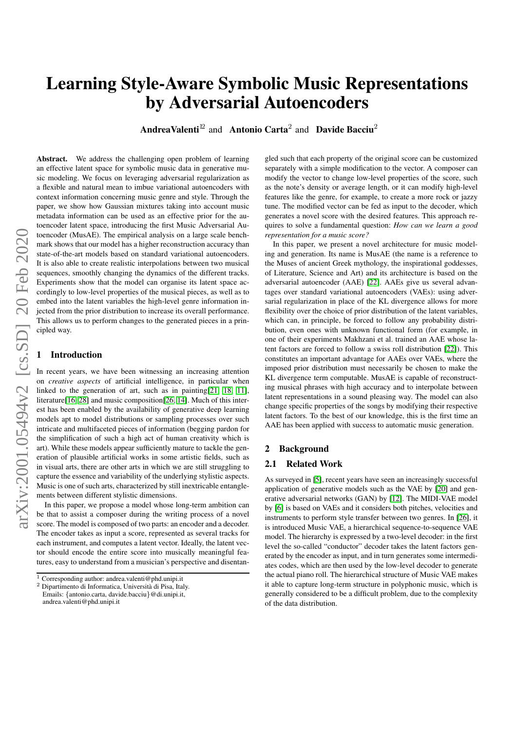# Learning Style-Aware Symbolic Music Representations by Adversarial Autoencoders

AndreaValenti<sup>12</sup> and Antonio Carta<sup>2</sup> and Davide Bacciu<sup>2</sup>

arXiv:2001.05494v2 [cs.SD] 20 Feb 2020 arXiv:2001.05494v2 [cs.SD] 20 Feb 2020 Abstract. We address the challenging open problem of learning an effective latent space for symbolic music data in generative music modeling. We focus on leveraging adversarial regularization as a flexible and natural mean to imbue variational autoencoders with context information concerning music genre and style. Through the paper, we show how Gaussian mixtures taking into account music metadata information can be used as an effective prior for the autoencoder latent space, introducing the first Music Adversarial Autoencoder (MusAE). The empirical analysis on a large scale benchmark shows that our model has a higher reconstruction accuracy than state-of-the-art models based on standard variational autoencoders. It is also able to create realistic interpolations between two musical sequences, smoothly changing the dynamics of the different tracks. Experiments show that the model can organise its latent space accordingly to low-level properties of the musical pieces, as well as to embed into the latent variables the high-level genre information injected from the prior distribution to increase its overall performance. This allows us to perform changes to the generated pieces in a principled way.

## **Introduction**

In recent years, we have been witnessing an increasing attention on *creative aspects* of artificial intelligence, in particular when linked to the generation of art, such as in painting[\[21,](#page-7-0) [18,](#page-7-1) [11\]](#page-7-2), literature[\[16,](#page-7-3) [28\]](#page-7-4) and music composition[\[26,](#page-7-5) [14\]](#page-7-6). Much of this interest has been enabled by the availability of generative deep learning models apt to model distributions or sampling processes over such intricate and multifaceted pieces of information (begging pardon for the simplification of such a high act of human creativity which is art). While these models appear sufficiently mature to tackle the generation of plausible artificial works in some artistic fields, such as in visual arts, there are other arts in which we are still struggling to capture the essence and variability of the underlying stylistic aspects. Music is one of such arts, characterized by still inextricable entanglements between different stylistic dimensions.

In this paper, we propose a model whose long-term ambition can be that to assist a composer during the writing process of a novel score. The model is composed of two parts: an encoder and a decoder. The encoder takes as input a score, represented as several tracks for each instrument, and computes a latent vector. Ideally, the latent vector should encode the entire score into musically meaningful features, easy to understand from a musician's perspective and disentan-

gled such that each property of the original score can be customized separately with a simple modification to the vector. A composer can modify the vector to change low-level properties of the score, such as the note's density or average length, or it can modify high-level features like the genre, for example, to create a more rock or jazzy tune. The modified vector can be fed as input to the decoder, which generates a novel score with the desired features. This approach requires to solve a fundamental question: *How can we learn a good representation for a music score?*

In this paper, we present a novel architecture for music modeling and generation. Its name is MusAE (the name is a reference to the Muses of ancient Greek mythology, the inspirational goddesses, of Literature, Science and Art) and its architecture is based on the adversarial autoencoder (AAE) [\[22\]](#page-7-7). AAEs give us several advantages over standard variational autoencoders (VAEs): using adversarial regularization in place of the KL divergence allows for more flexibility over the choice of prior distribution of the latent variables, which can, in principle, be forced to follow any probability distribution, even ones with unknown functional form (for example, in one of their experiments Makhzani et al. trained an AAE whose latent factors are forced to follow a swiss roll distribution [\[22\]](#page-7-7)). This constitutes an important advantage for AAEs over VAEs, where the imposed prior distribution must necessarily be chosen to make the KL divergence term computable. MusAE is capable of reconstructing musical phrases with high accuracy and to interpolate between latent representations in a sound pleasing way. The model can also change specific properties of the songs by modifying their respective latent factors. To the best of our knowledge, this is the first time an AAE has been applied with success to automatic music generation.

#### 2 Background

#### 2.1 Related Work

As surveyed in [\[5\]](#page-7-8), recent years have seen an increasingly successful application of generative models such as the VAE by [\[20\]](#page-7-9) and generative adversarial networks (GAN) by [\[12\]](#page-7-10). The MIDI-VAE model by [\[6\]](#page-7-11) is based on VAEs and it considers both pitches, velocities and instruments to perform style transfer between two genres. In [\[26\]](#page-7-5), it is introduced Music VAE, a hierarchical sequence-to-sequence VAE model. The hierarchy is expressed by a two-level decoder: in the first level the so-called "conductor" decoder takes the latent factors generated by the encoder as input, and in turn generates some intermediates codes, which are then used by the low-level decoder to generate the actual piano roll. The hierarchical structure of Music VAE makes it able to capture long-term structure in polyphonic music, which is generally considered to be a difficult problem, due to the complexity of the data distribution.

 $\frac{1}{1}$  Corresponding author: andrea.valenti@phd.unipi.it

<sup>2</sup> Dipartimento di Informatica, Universita di Pisa, Italy. ` Emails: {antonio.carta, davide.bacciu}@di.unipi.it,

andrea.valenti@phd.unipi.it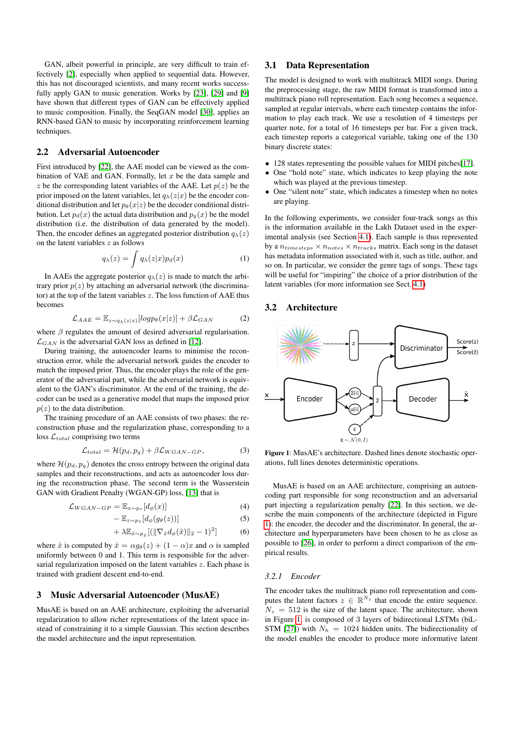GAN, albeit powerful in principle, are very difficult to train effectively [\[2\]](#page-7-12), especially when applied to sequential data. However, this has not discouraged scientists, and many recent works successfully apply GAN to music generation. Works by [\[23\]](#page-7-13), [\[29\]](#page-7-14) and [\[9\]](#page-7-15) have shown that different types of GAN can be effectively applied to music composition. Finally, the SeqGAN model [\[30\]](#page-7-16), applies an RNN-based GAN to music by incorporating reinforcement learning techniques.

## 2.2 Adversarial Autoencoder

First introduced by [\[22\]](#page-7-7), the AAE model can be viewed as the combination of VAE and GAN. Formally, let  $x$  be the data sample and z be the corresponding latent variables of the AAE. Let  $p(z)$  be the prior imposed on the latent variables, let  $q_{\lambda}(z|x)$  be the encoder conditional distribution and let  $p_{\theta}(x|z)$  be the decoder conditional distribution. Let  $p_d(x)$  the actual data distribution and  $p_q(x)$  be the model distribution (i.e. the distribution of data generated by the model). Then, the encoder defines an aggregated posterior distribution  $q_{\lambda}(z)$ on the latent variables  $z$  as follows

$$
q_{\lambda}(z) = \int q_{\lambda}(z|x)p_d(x) \tag{1}
$$

In AAEs the aggregate posterior  $q_{\lambda}(z)$  is made to match the arbitrary prior  $p(z)$  by attaching an adversarial network (the discriminator) at the top of the latent variables z. The loss function of AAE thus becomes

$$
\mathcal{L}_{AAE} = \mathbb{E}_{z \sim q_{\lambda}(z|x)} [log p_{\theta}(x|z)] + \beta \mathcal{L}_{GAN} \tag{2}
$$

where  $\beta$  regulates the amount of desired adversarial regularisation.  $\mathcal{L}_{GAN}$  is the adversarial GAN loss as defined in [\[12\]](#page-7-10).

During training, the autoencoder learns to minimise the reconstruction error, while the adversarial network guides the encoder to match the imposed prior. Thus, the encoder plays the role of the generator of the adversarial part, while the adversarial network is equivalent to the GAN's discriminator. At the end of the training, the decoder can be used as a generative model that maps the imposed prior  $p(z)$  to the data distribution.

The training procedure of an AAE consists of two phases: the reconstruction phase and the regularization phase, corresponding to a loss  $\mathcal{L}_{total}$  comprising two terms

$$
\mathcal{L}_{total} = \mathcal{H}(p_d, p_g) + \beta \mathcal{L}_{WGAN-GP},\tag{3}
$$

where  $\mathcal{H}(p_d, p_g)$  denotes the cross entropy between the original data samples and their reconstructions, and acts as autoencoder loss during the reconstruction phase. The second term is the Wasserstein GAN with Gradient Penalty (WGAN-GP) loss, [\[13\]](#page-7-17) that is

$$
\mathcal{L}_{WGAN-GP} = \mathbb{E}_{x \sim p_r} [d_{\phi}(x)] \tag{4}
$$

$$
-\mathbb{E}_{z\sim p_z}[d_{\phi}(g_{\theta}(z))]
$$
\n(5)

$$
+\lambda \mathbb{E}_{\hat{x}\sim p_{\hat{x}}}[(\|\nabla_{\hat{x}}d_{\phi}(\hat{x})\|_{2}-1)^{2}] \tag{6}
$$

where  $\hat{x}$  is computed by  $\hat{x} = \alpha g_{\theta}(z) + (1 - \alpha)x$  and  $\alpha$  is sampled uniformly between 0 and 1. This term is responsible for the adversarial regularization imposed on the latent variables z. Each phase is trained with gradient descent end-to-end.

# 3 Music Adversarial Autoencoder (MusAE)

MusAE is based on an AAE architecture, exploiting the adversarial regularization to allow richer representations of the latent space instead of constraining it to a simple Gaussian. This section describes the model architecture and the input representation.

#### <span id="page-1-1"></span>3.1 Data Representation

The model is designed to work with multitrack MIDI songs. During the preprocessing stage, the raw MIDI format is transformed into a multitrack piano roll representation. Each song becomes a sequence, sampled at regular intervals, where each timestep contains the information to play each track. We use a resolution of 4 timesteps per quarter note, for a total of 16 timesteps per bar. For a given track, each timestep reports a categorical variable, taking one of the 130 binary discrete states:

- 128 states representing the possible values for MIDI pitches[\[17\]](#page-7-18).
- One "hold note" state, which indicates to keep playing the note which was played at the previous timestep.
- One "silent note" state, which indicates a timestep when no notes are playing.

In the following experiments, we consider four-track songs as this is the information available in the Lakh Dataset used in the experimental analysis (see Section [4.1\)](#page-3-0). Each sample is thus represented by a  $n_{time steps} \times n_{notes} \times n_{tracks}$  matrix. Each song in the dataset has metadata information associated with it, such as title, author, and so on. In particular, we consider the genre tags of songs. These tags will be useful for "inspiring" the choice of a prior distribution of the latent variables (for more information see Sect. [4.1\)](#page-3-0)

# 3.2 Architecture

<span id="page-1-0"></span>

Figure 1: MusAE's architecture. Dashed lines denote stochastic operations, full lines denotes deterministic operations.

MusAE is based on an AAE architecture, comprising an autoencoding part responsible for song reconstruction and an adversarial part injecting a regularization penalty [\[22\]](#page-7-7). In this section, we describe the main components of the architecture (depicted in Figure [1\)](#page-1-0): the encoder, the decoder and the discriminator. In general, the architecture and hyperparameters have been chosen to be as close as possible to [\[26\]](#page-7-5), in order to perform a direct comparison of the empirical results.

#### *3.2.1 Encoder*

The encoder takes the multitrack piano roll representation and computes the latent factors  $z \in \mathbb{R}^{N_z}$  that encode the entire sequence.  $N_z = 512$  is the size of the latent space. The architecture, shown in Figure [1,](#page-1-0) is composed of 3 layers of bidirectional LSTMs (biL-STM [\[27\]](#page-7-19)) with  $N_h = 1024$  hidden units. The bidirectionality of the model enables the encoder to produce more informative latent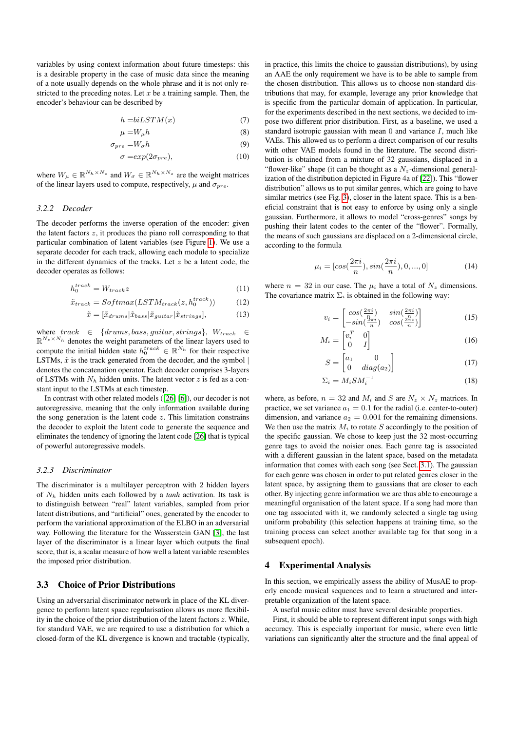variables by using context information about future timesteps: this is a desirable property in the case of music data since the meaning of a note usually depends on the whole phrase and it is not only restricted to the preceding notes. Let  $x$  be a training sample. Then, the encoder's behaviour can be described by

$$
h = biLSTM(x) \tag{7}
$$

$$
\mu = W_{\mu}h \tag{8}
$$

$$
\sigma_{pre} = W_{\sigma} h \tag{9}
$$

$$
\sigma = exp(2\sigma_{pre}),\tag{10}
$$

where  $W_{\mu} \in \mathbb{R}^{N_h \times N_z}$  and  $W_{\sigma} \in \mathbb{R}^{N_h \times N_z}$  are the weight matrices of the linear layers used to compute, respectively,  $\mu$  and  $\sigma_{pre}$ .

#### *3.2.2 Decoder*

The decoder performs the inverse operation of the encoder: given the latent factors  $z$ , it produces the piano roll corresponding to that particular combination of latent variables (see Figure [1\)](#page-1-0). We use a separate decoder for each track, allowing each module to specialize in the different dynamics of the tracks. Let  $z$  be a latent code, the decoder operates as follows:

$$
h_0^{track} = W_{track}z \tag{11}
$$

$$
\tilde{x}_{track} = Softmax(LSTM_{track}(z, h_0^{track})) \tag{12}
$$

$$
\tilde{x} = [\tilde{x}_{drums} | \tilde{x}_{bass} | \tilde{x}_{guitar} | \tilde{x}_{strings}], \tag{13}
$$

 $\begin{array}{rcl} \text{where }\; track & \in & \{drums, bass, guitar, strings\}, \;\; W_{track} & \in & \\ \end{array}$  $\mathbb{R}^{N_z \times N_h}$  denotes the weight parameters of the linear layers used to compute the initial hidden state  $h_0^{track} \in \mathbb{R}^{N_h}$  for their respective LSTMs,  $\tilde{x}$  is the track generated from the decoder, and the symbol | denotes the concatenation operator. Each decoder comprises 3-layers of LSTMs with  $N_h$  hidden units. The latent vector  $z$  is fed as a constant input to the LSTMs at each timestep.

In contrast with other related models ([\[26\]](#page-7-5) [\[6\]](#page-7-11)), our decoder is not autoregressive, meaning that the only information available during the song generation is the latent code  $z$ . This limitation constrains the decoder to exploit the latent code to generate the sequence and eliminates the tendency of ignoring the latent code [\[26\]](#page-7-5) that is typical of powerful autoregressive models.

#### *3.2.3 Discriminator*

The discriminator is a multilayer perceptron with 2 hidden layers of N<sup>h</sup> hidden units each followed by a *tanh* activation. Its task is to distinguish between "real" latent variables, sampled from prior latent distributions, and "artificial" ones, generated by the encoder to perform the variational approximation of the ELBO in an adversarial way. Following the literature for the Wasserstein GAN [\[3\]](#page-7-20), the last layer of the discriminator is a linear layer which outputs the final score, that is, a scalar measure of how well a latent variable resembles the imposed prior distribution.

# <span id="page-2-0"></span>3.3 Choice of Prior Distributions

Using an adversarial discriminator network in place of the KL divergence to perform latent space regularisation allows us more flexibility in the choice of the prior distribution of the latent factors  $z$ . While, for standard VAE, we are required to use a distribution for which a closed-form of the KL divergence is known and tractable (typically,

in practice, this limits the choice to gaussian distributions), by using an AAE the only requirement we have is to be able to sample from the chosen distribution. This allows us to choose non-standard distributions that may, for example, leverage any prior knowledge that is specific from the particular domain of application. In particular, for the experiments described in the next sections, we decided to impose two different prior distribution. First, as a baseline, we used a standard isotropic gaussian with mean  $0$  and variance  $I$ , much like VAEs. This allowed us to perform a direct comparison of our results with other VAE models found in the literature. The second distribution is obtained from a mixture of 32 gaussians, displaced in a "flower-like" shape (it can be thought as a  $N_z$ -dimensional generalization of the distribution depicted in Figure 4a of [\[22\]](#page-7-7)). This "flower distribution" allows us to put similar genres, which are going to have similar metrics (see Fig. [3\)](#page-5-0), closer in the latent space. This is a beneficial constraint that is not easy to enforce by using only a single gaussian. Furthermore, it allows to model "cross-genres" songs by pushing their latent codes to the center of the "flower". Formally, the means of such gaussians are displaced on a 2-dimensional circle, according to the formula

$$
\mu_i = [\cos(\frac{2\pi i}{n}), \sin(\frac{2\pi i}{n}), 0, ..., 0]
$$
\n(14)

where  $n = 32$  in our case. The  $\mu_i$  have a total of  $N_z$  dimensions. The covariance matrix  $\Sigma_i$  is obtained in the following way:

$$
v_i = \begin{bmatrix} \cos(\frac{2\pi i}{n}) & \sin(\frac{2\pi i}{n})\\ -\sin(\frac{2\pi i}{n}) & \cos(\frac{2\pi i}{n}) \end{bmatrix}
$$
(15)

$$
M_i = \begin{bmatrix} v_i^T & 0 \\ 0 & I \end{bmatrix} \tag{16}
$$

$$
S = \begin{bmatrix} a_1 & 0 \\ 0 & diag(a_2) \end{bmatrix} \tag{17}
$$

$$
\Sigma_i = M_i S M_i^{-1} \tag{18}
$$

where, as before,  $n = 32$  and  $M_i$  and S are  $N_z \times N_z$  matrices. In practice, we set variance  $a_1 = 0.1$  for the radial (i.e. center-to-outer) dimension, and variance  $a_2 = 0.001$  for the remaining dimensions. We then use the matrix  $M_i$  to rotate S accordingly to the position of the specific gaussian. We chose to keep just the 32 most-occurring genre tags to avoid the noisier ones. Each genre tag is associated with a different gaussian in the latent space, based on the metadata information that comes with each song (see Sect. [3.1\)](#page-1-1). The gaussian for each genre was chosen in order to put related genres closer in the latent space, by assigning them to gaussians that are closer to each other. By injecting genre information we are thus able to encourage a meaningful organisation of the latent space. If a song had more than one tag associated with it, we randomly selected a single tag using uniform probability (this selection happens at training time, so the training process can select another available tag for that song in a subsequent epoch).

## 4 Experimental Analysis

In this section, we empirically assess the ability of MusAE to properly encode musical sequences and to learn a structured and interpretable organization of the latent space.

A useful music editor must have several desirable properties.

First, it should be able to represent different input songs with high accuracy. This is especially important for music, where even little variations can significantly alter the structure and the final appeal of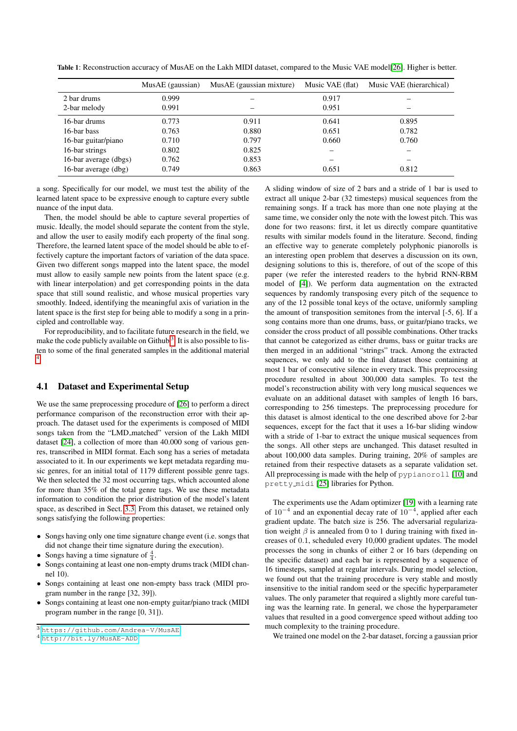<span id="page-3-3"></span>Table 1: Reconstruction accuracy of MusAE on the Lakh MIDI dataset, compared to the Music VAE model[\[26\]](#page-7-5). Higher is better.

|                       | MusAE (gaussian) | MusAE (gaussian mixture) | Music VAE (flat) | Music VAE (hierarchical) |
|-----------------------|------------------|--------------------------|------------------|--------------------------|
| 2 bar drums           | 0.999            |                          | 0.917            |                          |
| 2-bar melody          | 0.991            |                          | 0.951            |                          |
| 16-bar drums          | 0.773            | 0.911                    | 0.641            | 0.895                    |
| 16-bar bass           | 0.763            | 0.880                    | 0.651            | 0.782                    |
| 16-bar guitar/piano   | 0.710            | 0.797                    | 0.660            | 0.760                    |
| 16-bar strings        | 0.802            | 0.825                    |                  |                          |
| 16-bar average (dbgs) | 0.762            | 0.853                    |                  |                          |
| 16-bar average (dbg)  | 0.749            | 0.863                    | 0.651            | 0.812                    |

a song. Specifically for our model, we must test the ability of the learned latent space to be expressive enough to capture every subtle nuance of the input data.

Then, the model should be able to capture several properties of music. Ideally, the model should separate the content from the style, and allow the user to easily modify each property of the final song. Therefore, the learned latent space of the model should be able to effectively capture the important factors of variation of the data space. Given two different songs mapped into the latent space, the model must allow to easily sample new points from the latent space (e.g. with linear interpolation) and get corresponding points in the data space that still sound realistic, and whose musical properties vary smoothly. Indeed, identifying the meaningful axis of variation in the latent space is the first step for being able to modify a song in a principled and controllable way.

For reproducibility, and to facilitate future research in the field, we make the code publicly available on Github<sup>[3](#page-3-1)</sup>. It is also possible to listen to some of the final generated samples in the additional material [4](#page-3-2) .

# <span id="page-3-0"></span>4.1 Dataset and Experimental Setup

We use the same preprocessing procedure of [\[26\]](#page-7-5) to perform a direct performance comparison of the reconstruction error with their approach. The dataset used for the experiments is composed of MIDI songs taken from the "LMD matched" version of the Lakh MIDI dataset [\[24\]](#page-7-21), a collection of more than 40.000 song of various genres, transcribed in MIDI format. Each song has a series of metadata associated to it. In our experiments we kept metadata regarding music genres, for an initial total of 1179 different possible genre tags. We then selected the 32 most occurring tags, which accounted alone for more than 35% of the total genre tags. We use these metadata information to condition the prior distribution of the model's latent space, as described in Sect. [3.3.](#page-2-0) From this dataset, we retained only songs satisfying the following properties:

- Songs having only one time signature change event (i.e. songs that did not change their time signature during the execution).
- Songs having a time signature of  $\frac{4}{4}$ .
- Songs containing at least one non-empty drums track (MIDI channel 10).
- Songs containing at least one non-empty bass track (MIDI program number in the range [32, 39]).
- Songs containing at least one non-empty guitar/piano track (MIDI program number in the range [0, 31]).

A sliding window of size of 2 bars and a stride of 1 bar is used to extract all unique 2-bar (32 timesteps) musical sequences from the remaining songs. If a track has more than one note playing at the same time, we consider only the note with the lowest pitch. This was done for two reasons: first, it let us directly compare quantitative results with similar models found in the literature. Second, finding an effective way to generate completely polyphonic pianorolls is an interesting open problem that deserves a discussion on its own, designing solutions to this is, therefore, of out of the scope of this paper (we refer the interested readers to the hybrid RNN-RBM model of [\[4\]](#page-7-22)). We perform data augmentation on the extracted sequences by randomly transposing every pitch of the sequence to any of the 12 possible tonal keys of the octave, uniformly sampling the amount of transposition semitones from the interval [-5, 6]. If a song contains more than one drums, bass, or guitar/piano tracks, we consider the cross product of all possible combinations. Other tracks that cannot be categorized as either drums, bass or guitar tracks are then merged in an additional "strings" track. Among the extracted sequences, we only add to the final dataset those containing at most 1 bar of consecutive silence in every track. This preprocessing procedure resulted in about 300,000 data samples. To test the model's reconstruction ability with very long musical sequences we evaluate on an additional dataset with samples of length 16 bars, corresponding to 256 timesteps. The preprocessing procedure for this dataset is almost identical to the one described above for 2-bar sequences, except for the fact that it uses a 16-bar sliding window with a stride of 1-bar to extract the unique musical sequences from the songs. All other steps are unchanged. This dataset resulted in about 100,000 data samples. During training, 20% of samples are retained from their respective datasets as a separate validation set. All preprocessing is made with the help of pypianoroll [\[10\]](#page-7-23) and pretty midi [\[25\]](#page-7-24) libraries for Python.

The experiments use the Adam optimizer [\[19\]](#page-7-25) with a learning rate of  $10^{-4}$  and an exponential decay rate of  $10^{-4}$ , applied after each gradient update. The batch size is 256. The adversarial regularization weight  $\beta$  is annealed from 0 to 1 during training with fixed increases of 0.1, scheduled every 10,000 gradient updates. The model processes the song in chunks of either 2 or 16 bars (depending on the specific dataset) and each bar is represented by a sequence of 16 timesteps, sampled at regular intervals. During model selection, we found out that the training procedure is very stable and mostly insensitive to the initial random seed or the specific hyperparameter values. The only parameter that required a slightly more careful tuning was the learning rate. In general, we chose the hyperparameter values that resulted in a good convergence speed without adding too much complexity to the training procedure.

We trained one model on the 2-bar dataset, forcing a gaussian prior

<span id="page-3-1"></span><sup>3</sup> <https://github.com/Andrea-V/MusAE>

<span id="page-3-2"></span><sup>4</sup> <http://bit.ly/MusAE-ADD>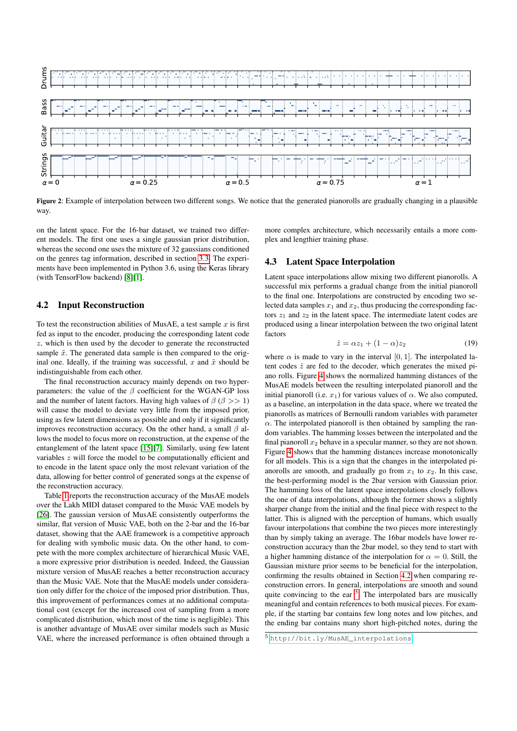<span id="page-4-2"></span>

Figure 2: Example of interpolation between two different songs. We notice that the generated pianorolls are gradually changing in a plausible way.

on the latent space. For the 16-bar dataset, we trained two different models. The first one uses a single gaussian prior distribution, whereas the second one uses the mixture of 32 gaussians conditioned on the genres tag information, described in section [3.3.](#page-2-0) The experiments have been implemented in Python 3.6, using the Keras library (with TensorFlow backend) [\[8\]](#page-7-26)[\[1\]](#page-7-27).

## <span id="page-4-0"></span>4.2 Input Reconstruction

To test the reconstruction abilities of MusAE, a test sample  $x$  is first fed as input to the encoder, producing the corresponding latent code z, which is then used by the decoder to generate the reconstructed sample  $\tilde{x}$ . The generated data sample is then compared to the original one. Ideally, if the training was successful, x and  $\tilde{x}$  should be indistinguishable from each other.

The final reconstruction accuracy mainly depends on two hyperparameters: the value of the  $\beta$  coefficient for the WGAN-GP loss and the number of latent factors. Having high values of  $\beta$  ( $\beta$  >> 1) will cause the model to deviate very little from the imposed prior, using as few latent dimensions as possible and only if it significantly improves reconstruction accuracy. On the other hand, a small  $\beta$  allows the model to focus more on reconstruction, at the expense of the entanglement of the latent space [\[15\]](#page-7-28)[\[7\]](#page-7-29). Similarly, using few latent variables z will force the model to be computationally efficient and to encode in the latent space only the most relevant variation of the data, allowing for better control of generated songs at the expense of the reconstruction accuracy.

Table [1](#page-3-3) reports the reconstruction accuracy of the MusAE models over the Lakh MIDI dataset compared to the Music VAE models by [\[26\]](#page-7-5). The gaussian version of MusAE consistently outperforms the similar, flat version of Music VAE, both on the 2-bar and the 16-bar dataset, showing that the AAE framework is a competitive approach for dealing with symbolic music data. On the other hand, to compete with the more complex architecture of hierarchical Music VAE, a more expressive prior distribution is needed. Indeed, the Gaussian mixture version of MusAE reaches a better reconstruction accuracy than the Music VAE. Note that the MusAE models under consideration only differ for the choice of the imposed prior distribution. Thus, this improvement of performances comes at no additional computational cost (except for the increased cost of sampling from a more complicated distribution, which most of the time is negligible). This is another advantage of MusAE over similar models such as Music VAE, where the increased performance is often obtained through a

more complex architecture, which necessarily entails a more complex and lengthier training phase.

# 4.3 Latent Space Interpolation

Latent space interpolations allow mixing two different pianorolls. A successful mix performs a gradual change from the initial pianoroll to the final one. Interpolations are constructed by encoding two selected data samples  $x_1$  and  $x_2$ , thus producing the corresponding factors  $z_1$  and  $z_2$  in the latent space. The intermediate latent codes are produced using a linear interpolation between the two original latent factors

$$
\hat{z} = \alpha z_1 + (1 - \alpha) z_2 \tag{19}
$$

where  $\alpha$  is made to vary in the interval [0, 1]. The interpolated latent codes  $\hat{z}$  are fed to the decoder, which generates the mixed piano rolls. Figure [4](#page-5-0) shows the normalized hamming distances of the MusAE models between the resulting interpolated pianoroll and the initial pianoroll (i.e.  $x_1$ ) for various values of  $\alpha$ . We also computed, as a baseline, an interpolation in the data space, where we treated the pianorolls as matrices of Bernoulli random variables with parameter  $\alpha$ . The interpolated pianoroll is then obtained by sampling the random variables. The hamming losses between the interpolated and the final pianoroll  $x_2$  behave in a specular manner, so they are not shown. Figure [4](#page-5-0) shows that the hamming distances increase monotonically for all models. This is a sign that the changes in the interpolated pianorolls are smooth, and gradually go from  $x_1$  to  $x_2$ . In this case, the best-performing model is the 2bar version with Gaussian prior. The hamming loss of the latent space interpolations closely follows the one of data interpolations, although the former shows a slightly sharper change from the initial and the final piece with respect to the latter. This is aligned with the perception of humans, which usually favour interpolations that combine the two pieces more interestingly than by simply taking an average. The 16bar models have lower reconstruction accuracy than the 2bar model, so they tend to start with a higher hamming distance of the interpolation for  $\alpha = 0$ . Still, the Gaussian mixture prior seems to be beneficial for the interpolation, confirming the results obtained in Section [4.2](#page-4-0) when comparing reconstruction errors. In general, interpolations are smooth and sound quite convincing to the ear  $5$ . The interpolated bars are musically meaningful and contain references to both musical pieces. For example, if the starting bar contains few long notes and low pitches, and the ending bar contains many short high-pitched notes, during the

<span id="page-4-1"></span><sup>5</sup> [http://bit.ly/MusAE\\_interpolations](http://bit.ly/MusAE_interpolations)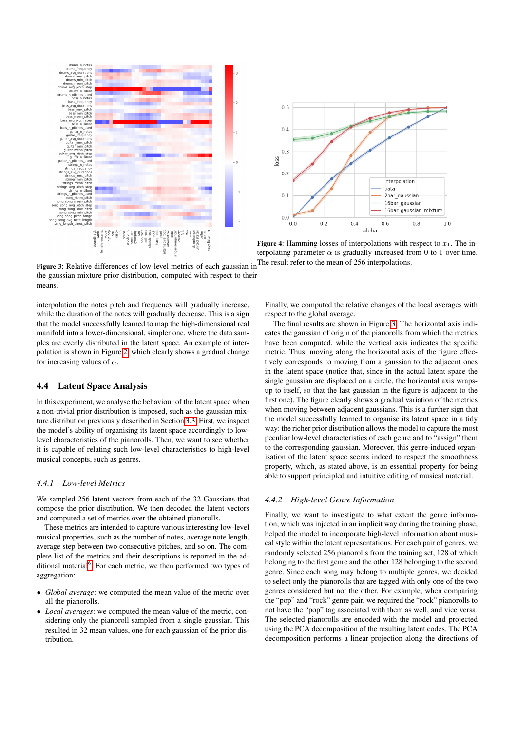<span id="page-5-0"></span>



Figure 4: Hamming losses of interpolations with respect to  $x_1$ . The interpolating parameter  $\alpha$  is gradually increased from 0 to 1 over time. The result refer to the mean of 256 interpolations.

Figure 3: Relative differences of low-level metrics of each gaussian in the gaussian mixture prior distribution, computed with respect to their means.

interpolation the notes pitch and frequency will gradually increase, while the duration of the notes will gradually decrease. This is a sign that the model successfully learned to map the high-dimensional real manifold into a lower-dimensional, simpler one, where the data samples are evenly distributed in the latent space. An example of interpolation is shown in Figure [2,](#page-4-2) which clearly shows a gradual change for increasing values of  $\alpha$ .

# 4.4 Latent Space Analysis

In this experiment, we analyse the behaviour of the latent space when a non-trivial prior distribution is imposed, such as the gaussian mixture distribution previously described in Section [3.3.](#page-2-0) First, we inspect the model's ability of organising its latent space accordingly to lowlevel characteristics of the pianorolls. Then, we want to see whether it is capable of relating such low-level characteristics to high-level musical concepts, such as genres.

## *4.4.1 Low-level Metrics*

We sampled 256 latent vectors from each of the 32 Gaussians that compose the prior distribution. We then decoded the latent vectors and computed a set of metrics over the obtained pianorolls.

These metrics are intended to capture various interesting low-level musical properties, such as the number of notes, average note length, average step between two consecutive pitches, and so on. The complete list of the metrics and their descriptions is reported in the ad-ditional material<sup>[6](#page-6-0)</sup>. For each metric, we then performed two types of aggregation:

- *Global average*: we computed the mean value of the metric over all the pianorolls.
- *Local averages*: we computed the mean value of the metric, considering only the pianoroll sampled from a single gaussian. This resulted in 32 mean values, one for each gaussian of the prior distribution.

Finally, we computed the relative changes of the local averages with respect to the global average.

The final results are shown in Figure [3.](#page-5-0) The horizontal axis indicates the gaussian of origin of the pianorolls from which the metrics have been computed, while the vertical axis indicates the specific metric. Thus, moving along the horizontal axis of the figure effectively corresponds to moving from a gaussian to the adjacent ones in the latent space (notice that, since in the actual latent space the single gaussian are displaced on a circle, the horizontal axis wrapsup to itself, so that the last gaussian in the figure is adjacent to the first one). The figure clearly shows a gradual variation of the metrics when moving between adjacent gaussians. This is a further sign that the model successfully learned to organise its latent space in a tidy way: the richer prior distribution allows the model to capture the most peculiar low-level characteristics of each genre and to "assign" them to the corresponding gaussian. Moreover, this genre-induced organisation of the latent space seems indeed to respect the smoothness property, which, as stated above, is an essential property for being able to support principled and intuitive editing of musical material.

#### *4.4.2 High-level Genre Information*

Finally, we want to investigate to what extent the genre information, which was injected in an implicit way during the training phase, helped the model to incorporate high-level information about musical style within the latent representations. For each pair of genres, we randomly selected 256 pianorolls from the training set, 128 of which belonging to the first genre and the other 128 belonging to the second genre. Since each song may belong to multiple genres, we decided to select only the pianorolls that are tagged with only one of the two genres considered but not the other. For example, when comparing the "pop" and "rock" genre pair, we required the "rock" pianorolls to not have the "pop" tag associated with them as well, and vice versa. The selected pianorolls are encoded with the model and projected using the PCA decomposition of the resulting latent codes. The PCA decomposition performs a linear projection along the directions of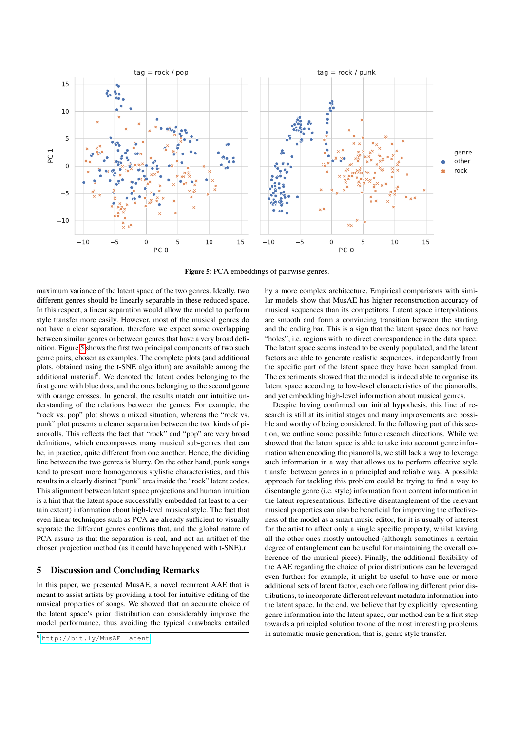<span id="page-6-1"></span>

Figure 5: PCA embeddings of pairwise genres.

maximum variance of the latent space of the two genres. Ideally, two different genres should be linearly separable in these reduced space. In this respect, a linear separation would allow the model to perform style transfer more easily. However, most of the musical genres do not have a clear separation, therefore we expect some overlapping between similar genres or between genres that have a very broad definition. Figure [5](#page-6-1) shows the first two principal components of two such genre pairs, chosen as examples. The complete plots (and additional plots, obtained using the t-SNE algorithm) are available among the additional material<sup>6</sup>. We denoted the latent codes belonging to the first genre with blue dots, and the ones belonging to the second genre with orange crosses. In general, the results match our intuitive understanding of the relations between the genres. For example, the "rock vs. pop" plot shows a mixed situation, whereas the "rock vs. punk" plot presents a clearer separation between the two kinds of pianorolls. This reflects the fact that "rock" and "pop" are very broad definitions, which encompasses many musical sub-genres that can be, in practice, quite different from one another. Hence, the dividing line between the two genres is blurry. On the other hand, punk songs tend to present more homogeneous stylistic characteristics, and this results in a clearly distinct "punk" area inside the "rock" latent codes. This alignment between latent space projections and human intuition is a hint that the latent space successfully embedded (at least to a certain extent) information about high-level musical style. The fact that even linear techniques such as PCA are already sufficient to visually separate the different genres confirms that, and the global nature of PCA assure us that the separation is real, and not an artifact of the chosen projection method (as it could have happened with t-SNE).r

# 5 Discussion and Concluding Remarks

In this paper, we presented MusAE, a novel recurrent AAE that is meant to assist artists by providing a tool for intuitive editing of the musical properties of songs. We showed that an accurate choice of the latent space's prior distribution can considerably improve the model performance, thus avoiding the typical drawbacks entailed by a more complex architecture. Empirical comparisons with similar models show that MusAE has higher reconstruction accuracy of musical sequences than its competitors. Latent space interpolations are smooth and form a convincing transition between the starting and the ending bar. This is a sign that the latent space does not have "holes", i.e. regions with no direct correspondence in the data space. The latent space seems instead to be evenly populated, and the latent factors are able to generate realistic sequences, independently from the specific part of the latent space they have been sampled from. The experiments showed that the model is indeed able to organise its latent space according to low-level characteristics of the pianorolls, and yet embedding high-level information about musical genres.

Despite having confirmed our initial hypothesis, this line of research is still at its initial stages and many improvements are possible and worthy of being considered. In the following part of this section, we outline some possible future research directions. While we showed that the latent space is able to take into account genre information when encoding the pianorolls, we still lack a way to leverage such information in a way that allows us to perform effective style transfer between genres in a principled and reliable way. A possible approach for tackling this problem could be trying to find a way to disentangle genre (i.e. style) information from content information in the latent representations. Effective disentanglement of the relevant musical properties can also be beneficial for improving the effectiveness of the model as a smart music editor, for it is usually of interest for the artist to affect only a single specific property, whilst leaving all the other ones mostly untouched (although sometimes a certain degree of entanglement can be useful for maintaining the overall coherence of the musical piece). Finally, the additional flexibility of the AAE regarding the choice of prior distributions can be leveraged even further: for example, it might be useful to have one or more additional sets of latent factor, each one following different prior distributions, to incorporate different relevant metadata information into the latent space. In the end, we believe that by explicitly representing genre information into the latent space, our method can be a first step towards a principled solution to one of the most interesting problems in automatic music generation, that is, genre style transfer.

<span id="page-6-0"></span><sup>6</sup> [http://bit.ly/MusAE\\_latent](http://bit.ly/MusAE_latent)